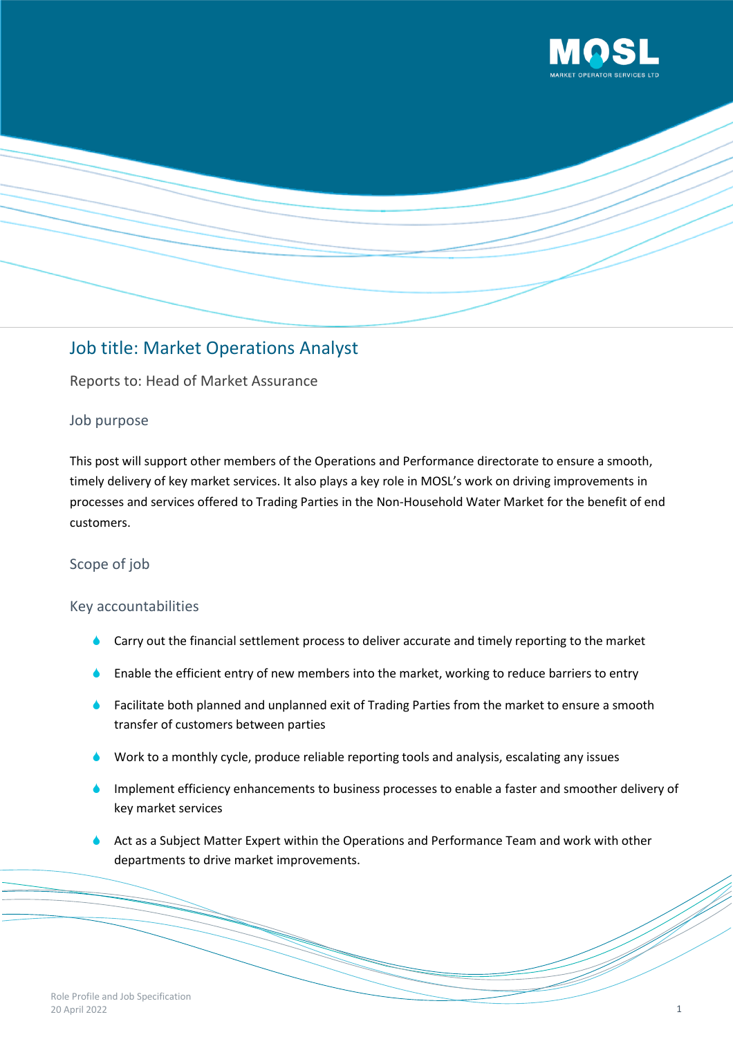



# Job title: Market Operations Analyst

Reports to: Head of Market Assurance

### Job purpose

This post will support other members of the Operations and Performance directorate to ensure a smooth, timely delivery of key market services. It also plays a key role in MOSL's work on driving improvements in processes and services offered to Trading Parties in the Non-Household Water Market for the benefit of end customers.

# Scope of job

# Key accountabilities

- Carry out the financial settlement process to deliver accurate and timely reporting to the market
- Enable the efficient entry of new members into the market, working to reduce barriers to entry
- Facilitate both planned and unplanned exit of Trading Parties from the market to ensure a smooth transfer of customers between parties
- Work to a monthly cycle, produce reliable reporting tools and analysis, escalating any issues
- Implement efficiency enhancements to business processes to enable a faster and smoother delivery of key market services
- Act as a Subject Matter Expert within the Operations and Performance Team and work with other departments to drive market improvements.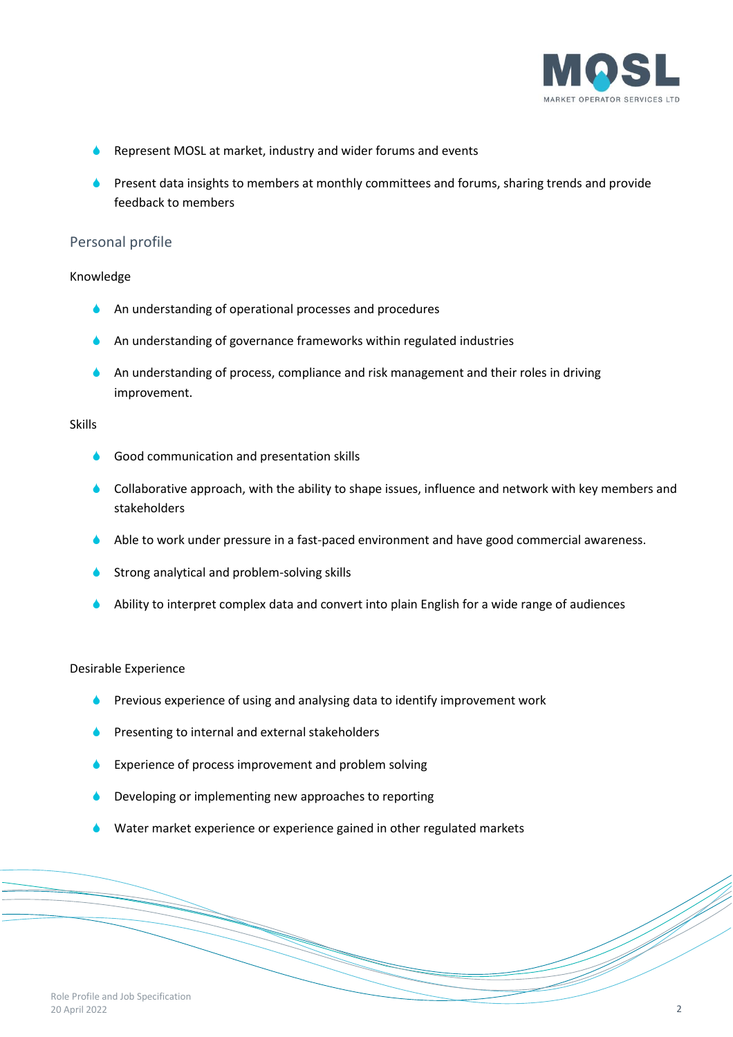

- Represent MOSL at market, industry and wider forums and events
- Present data insights to members at monthly committees and forums, sharing trends and provide feedback to members

#### Personal profile

#### Knowledge

- An understanding of operational processes and procedures
- An understanding of governance frameworks within regulated industries
- An understanding of process, compliance and risk management and their roles in driving improvement.

#### Skills

- Good communication and presentation skills
- **Collaborative approach, with the ability to shape issues, influence and network with key members and** stakeholders
- Able to work under pressure in a fast-paced environment and have good commercial awareness.
- Strong analytical and problem-solving skills
- Ability to interpret complex data and convert into plain English for a wide range of audiences

#### Desirable Experience

- Previous experience of using and analysing data to identify improvement work
- Presenting to internal and external stakeholders
- Experience of process improvement and problem solving
- Developing or implementing new approaches to reporting
- Water market experience or experience gained in other regulated markets